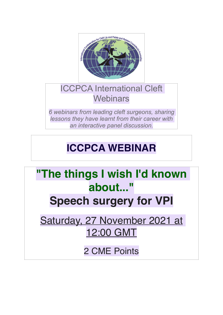

### ICCPCA International Cleft **Webinars**

*6 webinars from leading cleft surgeons, sharing lessons they have learnt from their career with an interactive panel discussion.*

# **ICCPCA WEBINAR**

## **"The things I wish I'd known about..." Speech surgery for VPI**

Saturday, 27 November 2021 at 12:00 GMT

2 CME Points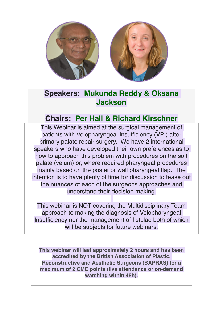

### **Speakers: Mukunda Reddy & Oksana Jackson**

### **Chairs: Per Hall & Richard Kirschner**

This Webinar is aimed at the surgical management of patients with Velopharyngeal Insufficiency (VPI) after primary palate repair surgery. We have 2 international speakers who have developed their own preferences as to how to approach this problem with procedures on the soft palate (velum) or, where required pharyngeal procedures mainly based on the posterior wall pharyngeal flap. The intention is to have plenty of time for discussion to tease out the nuances of each of the surgeons approaches and understand their decision making.

This webinar is NOT covering the Multidisciplinary Team approach to making the diagnosis of Velopharyngeal Insufficiency nor the management of fistulae both of which will be subiects for future webinars.

**This webinar will last approximately 2 hours and has been accredited by the British Association of Plastic, Reconstructive and Aesthetic Surgeons (BAPRAS) for a maximum of 2 CME points (live attendance or on-demand watching within 48h).**